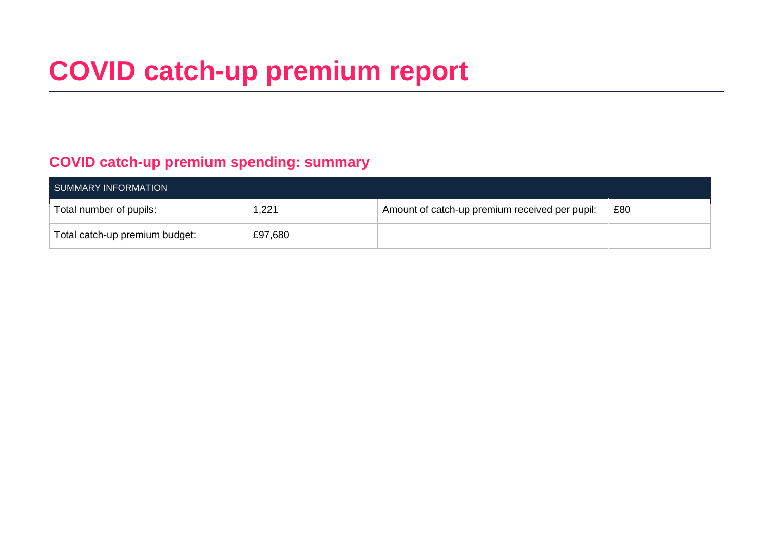# **COVID catch-up premium report**

### **COVID catch-up premium spending: summary**

| SUMMARY INFORMATION            |         |                                                |     |  |  |
|--------------------------------|---------|------------------------------------------------|-----|--|--|
| Total number of pupils:        | 1,221   | Amount of catch-up premium received per pupil: | £80 |  |  |
| Total catch-up premium budget: | £97,680 |                                                |     |  |  |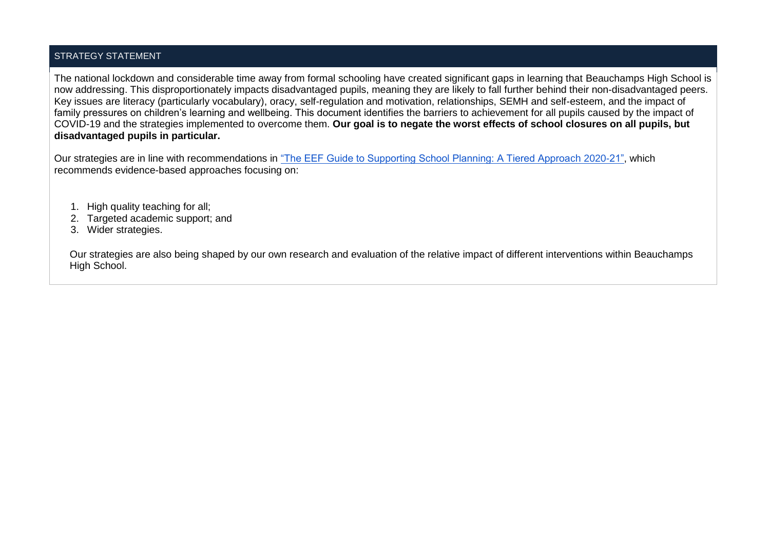### STRATEGY STATEMENT

The national lockdown and considerable time away from formal schooling have created significant gaps in learning that Beauchamps High School is now addressing. This disproportionately impacts disadvantaged pupils, meaning they are likely to fall further behind their non-disadvantaged peers. Key issues are literacy (particularly vocabulary), oracy, self-regulation and motivation, relationships, SEMH and self-esteem, and the impact of family pressures on children's learning and wellbeing. This document identifies the barriers to achievement for all pupils caused by the impact of COVID-19 and the strategies implemented to overcome them. **Our goal is to negate the worst effects of school closures on all pupils, but disadvantaged pupils in particular.**

Our strategies are in line with recommendations in ["The EEF Guide to Supporting School Planning: A Tiered Approach 2020-21",](https://educationendowmentfoundation.org.uk/public/files/Publications/Covid-19_Resources/Covid-19_support_guide_for_schools.pdf) which recommends evidence-based approaches focusing on:

- 1. High quality teaching for all;
- 2. Targeted academic support; and
- 3. Wider strategies.

Our strategies are also being shaped by our own research and evaluation of the relative impact of different interventions within Beauchamps High School.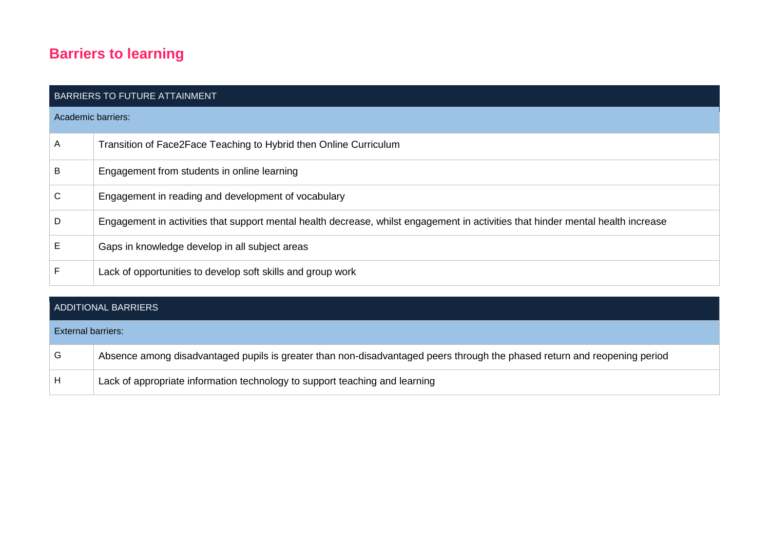### **Barriers to learning**

| <b>BARRIERS TO FUTURE ATTAINMENT</b> |                                                                                                                                  |  |  |  |
|--------------------------------------|----------------------------------------------------------------------------------------------------------------------------------|--|--|--|
| Academic barriers:                   |                                                                                                                                  |  |  |  |
| $\overline{A}$                       | Transition of Face2Face Teaching to Hybrid then Online Curriculum                                                                |  |  |  |
| B                                    | Engagement from students in online learning                                                                                      |  |  |  |
| $\mathsf{C}$                         | Engagement in reading and development of vocabulary                                                                              |  |  |  |
| D                                    | Engagement in activities that support mental health decrease, whilst engagement in activities that hinder mental health increase |  |  |  |
| E                                    | Gaps in knowledge develop in all subject areas                                                                                   |  |  |  |
| F                                    | Lack of opportunities to develop soft skills and group work                                                                      |  |  |  |

# ADDITIONAL BARRIERS External barriers: G Absence among disadvantaged pupils is greater than non-disadvantaged peers through the phased return and reopening period H Lack of appropriate information technology to support teaching and learning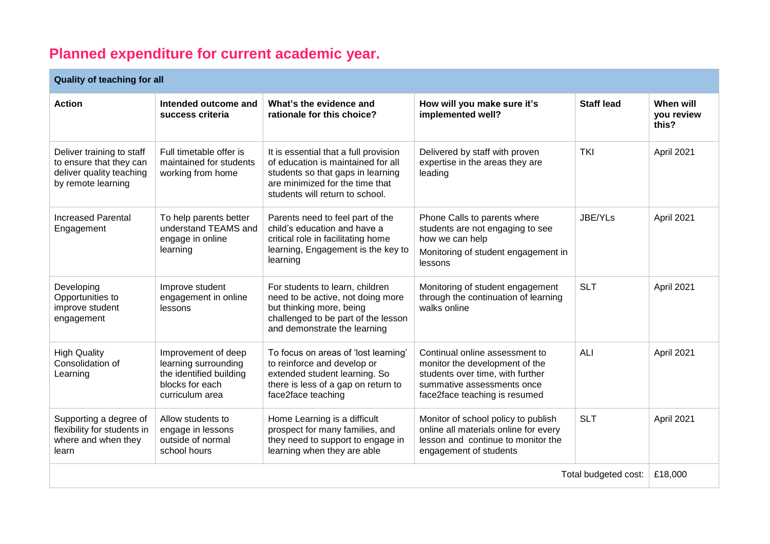## **Planned expenditure for current academic year.**

### **Quality of teaching for all**

| Quality OF teaching for all                                                                            |                                                                                                              |                                                                                                                                                                                        |                                                                                                                                                                     |                   |                                  |  |
|--------------------------------------------------------------------------------------------------------|--------------------------------------------------------------------------------------------------------------|----------------------------------------------------------------------------------------------------------------------------------------------------------------------------------------|---------------------------------------------------------------------------------------------------------------------------------------------------------------------|-------------------|----------------------------------|--|
| <b>Action</b>                                                                                          | Intended outcome and<br>success criteria                                                                     | What's the evidence and<br>rationale for this choice?                                                                                                                                  | How will you make sure it's<br>implemented well?                                                                                                                    | <b>Staff lead</b> | When will<br>you review<br>this? |  |
| Deliver training to staff<br>to ensure that they can<br>deliver quality teaching<br>by remote learning | Full timetable offer is<br>maintained for students<br>working from home                                      | It is essential that a full provision<br>of education is maintained for all<br>students so that gaps in learning<br>are minimized for the time that<br>students will return to school. | Delivered by staff with proven<br>expertise in the areas they are<br>leading                                                                                        | <b>TKI</b>        | April 2021                       |  |
| <b>Increased Parental</b><br>Engagement                                                                | To help parents better<br>understand TEAMS and<br>engage in online<br>learning                               | Parents need to feel part of the<br>child's education and have a<br>critical role in facilitating home<br>learning, Engagement is the key to<br>learning                               | Phone Calls to parents where<br>students are not engaging to see<br>how we can help<br>Monitoring of student engagement in<br>lessons                               | JBE/YLs           | April 2021                       |  |
| Developing<br>Opportunities to<br>improve student<br>engagement                                        | Improve student<br>engagement in online<br>lessons                                                           | For students to learn, children<br>need to be active, not doing more<br>but thinking more, being<br>challenged to be part of the lesson<br>and demonstrate the learning                | Monitoring of student engagement<br>through the continuation of learning<br>walks online                                                                            | <b>SLT</b>        | April 2021                       |  |
| <b>High Quality</b><br>Consolidation of<br>Learning                                                    | Improvement of deep<br>learning surrounding<br>the identified building<br>blocks for each<br>curriculum area | To focus on areas of 'lost learning'<br>to reinforce and develop or<br>extended student learning. So<br>there is less of a gap on return to<br>face2face teaching                      | Continual online assessment to<br>monitor the development of the<br>students over time, with further<br>summative assessments once<br>face2face teaching is resumed | <b>ALI</b>        | April 2021                       |  |
| Supporting a degree of<br>flexibility for students in<br>where and when they<br>learn                  | Allow students to<br>engage in lessons<br>outside of normal<br>school hours                                  | Home Learning is a difficult<br>prospect for many families, and<br>they need to support to engage in<br>learning when they are able                                                    | Monitor of school policy to publish<br>online all materials online for every<br>lesson and continue to monitor the<br>engagement of students                        | <b>SLT</b>        | April 2021                       |  |
| Total budgeted cost:                                                                                   |                                                                                                              |                                                                                                                                                                                        |                                                                                                                                                                     |                   | £18,000                          |  |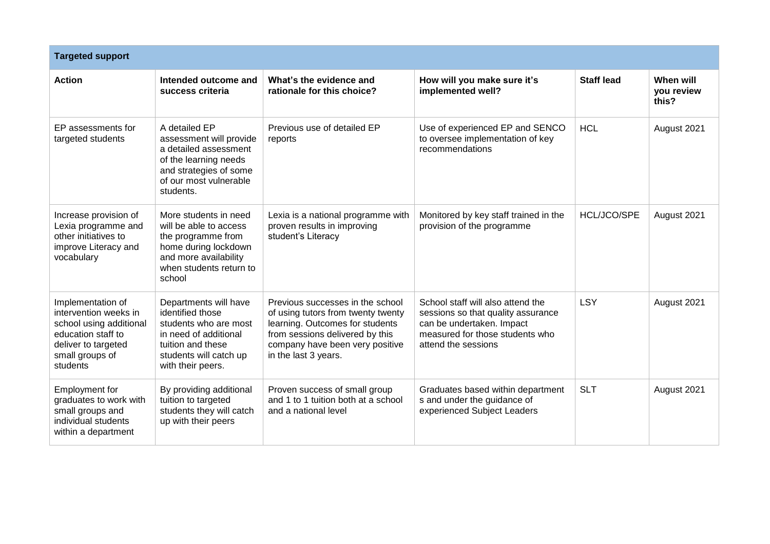| <b>Targeted support</b>                                                                                                                           |                                                                                                                                                                 |                                                                                                                                                                                                         |                                                                                                                                                                |                    |                                  |
|---------------------------------------------------------------------------------------------------------------------------------------------------|-----------------------------------------------------------------------------------------------------------------------------------------------------------------|---------------------------------------------------------------------------------------------------------------------------------------------------------------------------------------------------------|----------------------------------------------------------------------------------------------------------------------------------------------------------------|--------------------|----------------------------------|
| <b>Action</b>                                                                                                                                     | Intended outcome and<br>success criteria                                                                                                                        | What's the evidence and<br>rationale for this choice?                                                                                                                                                   | How will you make sure it's<br>implemented well?                                                                                                               | <b>Staff lead</b>  | When will<br>you review<br>this? |
| EP assessments for<br>targeted students                                                                                                           | A detailed EP<br>assessment will provide<br>a detailed assessment<br>of the learning needs<br>and strategies of some<br>of our most vulnerable<br>students.     | Previous use of detailed EP<br>reports                                                                                                                                                                  | Use of experienced EP and SENCO<br>to oversee implementation of key<br>recommendations                                                                         | <b>HCL</b>         | August 2021                      |
| Increase provision of<br>Lexia programme and<br>other initiatives to<br>improve Literacy and<br>vocabulary                                        | More students in need<br>will be able to access<br>the programme from<br>home during lockdown<br>and more availability<br>when students return to<br>school     | Lexia is a national programme with<br>proven results in improving<br>student's Literacy                                                                                                                 | Monitored by key staff trained in the<br>provision of the programme                                                                                            | <b>HCL/JCO/SPE</b> | August 2021                      |
| Implementation of<br>intervention weeks in<br>school using additional<br>education staff to<br>deliver to targeted<br>small groups of<br>students | Departments will have<br>identified those<br>students who are most<br>in need of additional<br>tuition and these<br>students will catch up<br>with their peers. | Previous successes in the school<br>of using tutors from twenty twenty<br>learning. Outcomes for students<br>from sessions delivered by this<br>company have been very positive<br>in the last 3 years. | School staff will also attend the<br>sessions so that quality assurance<br>can be undertaken. Impact<br>measured for those students who<br>attend the sessions | <b>LSY</b>         | August 2021                      |
| Employment for<br>graduates to work with<br>small groups and<br>individual students<br>within a department                                        | By providing additional<br>tuition to targeted<br>students they will catch<br>up with their peers                                                               | Proven success of small group<br>and 1 to 1 tuition both at a school<br>and a national level                                                                                                            | Graduates based within department<br>s and under the guidance of<br>experienced Subject Leaders                                                                | <b>SLT</b>         | August 2021                      |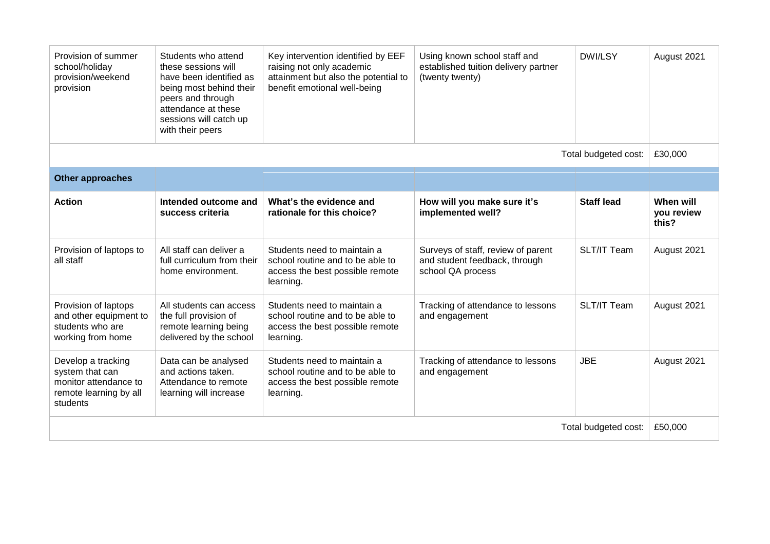| Provision of summer<br>school/holiday<br>provision/weekend<br>provision                              | Students who attend<br>these sessions will<br>have been identified as<br>being most behind their<br>peers and through<br>attendance at these<br>sessions will catch up<br>with their peers | Key intervention identified by EEF<br>raising not only academic<br>attainment but also the potential to<br>benefit emotional well-being | Using known school staff and<br>established tuition delivery partner<br>(twenty twenty)  | <b>DWI/LSY</b>     | August 2021                      |
|------------------------------------------------------------------------------------------------------|--------------------------------------------------------------------------------------------------------------------------------------------------------------------------------------------|-----------------------------------------------------------------------------------------------------------------------------------------|------------------------------------------------------------------------------------------|--------------------|----------------------------------|
| Total budgeted cost:                                                                                 |                                                                                                                                                                                            |                                                                                                                                         |                                                                                          |                    | £30,000                          |
| <b>Other approaches</b>                                                                              |                                                                                                                                                                                            |                                                                                                                                         |                                                                                          |                    |                                  |
| <b>Action</b>                                                                                        | Intended outcome and<br>success criteria                                                                                                                                                   | What's the evidence and<br>rationale for this choice?                                                                                   | How will you make sure it's<br>implemented well?                                         | <b>Staff lead</b>  | When will<br>you review<br>this? |
| Provision of laptops to<br>all staff                                                                 | All staff can deliver a<br>full curriculum from their<br>home environment.                                                                                                                 | Students need to maintain a<br>school routine and to be able to<br>access the best possible remote<br>learning.                         | Surveys of staff, review of parent<br>and student feedback, through<br>school QA process | <b>SLT/IT Team</b> | August 2021                      |
| Provision of laptops<br>and other equipment to<br>students who are<br>working from home              | All students can access<br>the full provision of<br>remote learning being<br>delivered by the school                                                                                       | Students need to maintain a<br>school routine and to be able to<br>access the best possible remote<br>learning.                         | Tracking of attendance to lessons<br>and engagement                                      | SLT/IT Team        | August 2021                      |
| Develop a tracking<br>system that can<br>monitor attendance to<br>remote learning by all<br>students | Data can be analysed<br>and actions taken.<br>Attendance to remote<br>learning will increase                                                                                               | Students need to maintain a<br>school routine and to be able to<br>access the best possible remote<br>learning.                         | Tracking of attendance to lessons<br>and engagement                                      | <b>JBE</b>         | August 2021                      |
| Total budgeted cost:                                                                                 |                                                                                                                                                                                            |                                                                                                                                         |                                                                                          | £50,000            |                                  |